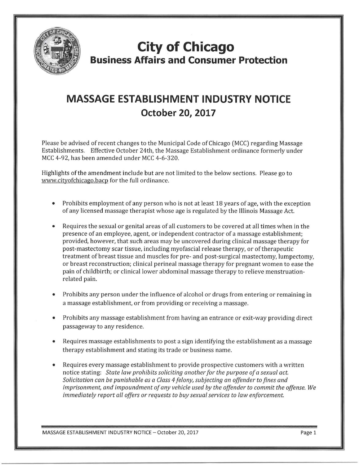

## **City of Chicago Business Affairs and Consumer Protection**

## **MASSAGE ESTABLISHMENT INDUSTRY NOTICE October 20, 2017**

Please be advised of recent changes to the Municipal Code of Chicago (MCC) regarding Massage Establishments. Effective October 24th, the Massage Establishment ordinance formerly under MCC 4-92, has been amended under MCC 4-6-320.

Highlights of the amendment include but are not limited to the below sections. Please go to www.cityofchicago.bacp for the full ordinance.

- Prohibits employment of any person who is not at least 18 years of age, with the exception of any li censed massage therapist whose age is regulated by the Illinois Massage Act.
- Requires the sexual or genital areas of all customers to be covered at all times when in the presence of an employee, agent, or independent contractor of a massage establishment; provided, however, that such areas may be uncovered during clinical massage therapy for post-mastectomy scar tissue, including myofascial release therapy, or of therapeutic treatment of breast tissue and muscles for pre- and post-surgical mastectomy, lumpectomy, or breast reconstruction; clinical perineal massage therapy for pregnant women to ease the pain of childbirth; or clinical lower abdominal massage therapy to relieve menstruationrelated pain.
- Prohibits any person under the influence of alcohol or drugs from entering or remaining in a massage establishment, or from providing or receiving a massage.
- Prohibits any massage establishment from having an entrance or exit-way providing direct passageway to any residence.
- Requires massage establishments to post a sign identifying the establishment as a massage therapy establishment and stating its trade or business name.
- Requires every massage establishment to provide prospective customers with a written notice stating: *State law prohibits soliciting another for the purpose of a sexual act. Solicita tion can be punishable as a Class 4 f elony, subjecting an offender to fines and imprisonment, and impoundment of any vehicle used by the offender to commit the offense. We immediately report all offers or requests to buy sexual services to law enforcement.*